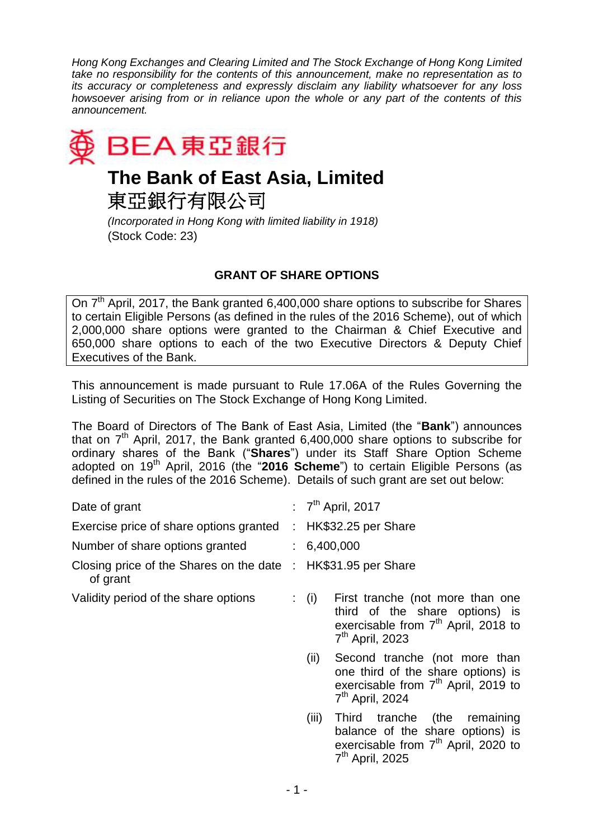*Hong Kong Exchanges and Clearing Limited and The Stock Exchange of Hong Kong Limited take no responsibility for the contents of this announcement, make no representation as to its accuracy or completeness and expressly disclaim any liability whatsoever for any loss howsoever arising from or in reliance upon the whole or any part of the contents of this announcement.*



## **The Bank of East Asia, Limited**

東亞銀行有限公司

*(Incorporated in Hong Kong with limited liability in 1918)* (Stock Code: 23)

## **GRANT OF SHARE OPTIONS**

On 7<sup>th</sup> April, 2017, the Bank granted 6,400,000 share options to subscribe for Shares to certain Eligible Persons (as defined in the rules of the 2016 Scheme), out of which 2,000,000 share options were granted to the Chairman & Chief Executive and 650,000 share options to each of the two Executive Directors & Deputy Chief Executives of the Bank.

This announcement is made pursuant to Rule 17.06A of the Rules Governing the Listing of Securities on The Stock Exchange of Hong Kong Limited.

The Board of Directors of The Bank of East Asia, Limited (the "**Bank**") announces that on  $7<sup>th</sup>$  April, 2017, the Bank granted 6,400,000 share options to subscribe for ordinary shares of the Bank ("**Shares**") under its Staff Share Option Scheme adopted on 19<sup>th</sup> April, 2016 (the "2016 Scheme") to certain Eligible Persons (as defined in the rules of the 2016 Scheme). Details of such grant are set out below:

| Date of grant                                       |                       | : $7th$ April, 2017                                                                                                                                        |
|-----------------------------------------------------|-----------------------|------------------------------------------------------------------------------------------------------------------------------------------------------------|
| Exercise price of share options granted             | $\mathbb{Z}^{\times}$ | HK\$32.25 per Share                                                                                                                                        |
| Number of share options granted                     |                       | : 6,400,000                                                                                                                                                |
| Closing price of the Shares on the date<br>of grant | ÷.                    | HK\$31.95 per Share                                                                                                                                        |
| Validity period of the share options                |                       | First tranche (not more than one<br>$\colon$ (i)<br>third of the share options) is<br>exercisable from 7 <sup>th</sup> April, 2018 to<br>$7th$ April, 2023 |
|                                                     |                       | Second tranche (not more than<br>(ii)<br>one third of the share options) is<br>exercisable from 7 <sup>th</sup> April, 2019 to<br>$7th$ April, 2024        |
|                                                     |                       | (iii)<br>Third tranche (the<br>remaining<br>balance of the share options) is<br>exercisable from 7 <sup>th</sup> April, 2020 to<br>$7th$ April, 2025       |